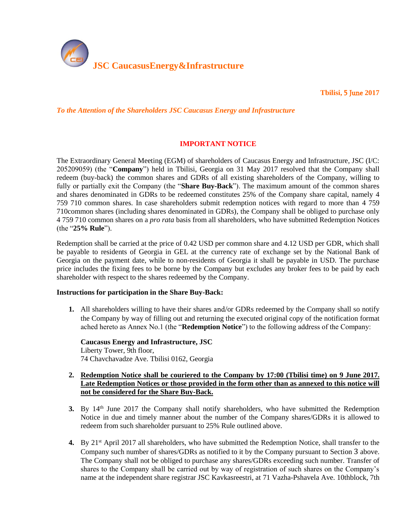

**Tbilisi,** 5 June **2017** 

*To the Attention of the Shareholders JSC Caucasus Energy and Infrastructure*

# **IMPORTANT NOTICE**

The Extraordinary General Meeting (EGM) of shareholders of Caucasus Energy and Infrastructure, JSC (I/C: 205209059) (the "**Company**") held in Tbilisi, Georgia on 31 May 2017 resolved that the Company shall redeem (buy-back) the common shares and GDRs of all existing shareholders of the Company, willing to fully or partially exit the Company (the "**Share Buy-Back**"). The maximum amount of the common shares and shares denominated in GDRs to be redeemed constitutes 25% of the Company share capital, namely 4 759 710 common shares. In case shareholders submit redemption notices with regard to more than 4 759 710common shares (including shares denominated in GDRs), the Company shall be obliged to purchase only 4 759 710 common shares on a *pro rata* basis from all shareholders, who have submitted Redemption Notices (the "**25% Rule**").

Redemption shall be carried at the price of 0.42 USD per common share and 4.12 USD per GDR, which shall be payable to residents of Georgia in GEL at the currency rate of exchange set by the National Bank of Georgia on the payment date, while to non-residents of Georgia it shall be payable in USD. The purchase price includes the fixing fees to be borne by the Company but excludes any broker fees to be paid by each shareholder with respect to the shares redeemed by the Company.

## **Instructions for participation in the Share Buy-Back:**

**1.** All shareholders willing to have their shares and/or GDRs redeemed by the Company shall so notify the Company by way of filling out and returning the executed original copy of the notification format ached hereto as Annex No.1 (the "**Redemption Notice**") to the following address of the Company:

**Caucasus Energy and Infrastructure, JSC** Liberty Tower, 9th floor, 74 Chavchavadze Ave. Tbilisi 0162, Georgia

- **2. Redemption Notice shall be couriered to the Company by 17:00 (Tbilisi time) on 9 June 2017. Late Redemption Notices or those provided in the form other than as annexed to this notice will not be considered for the Share Buy-Back.**
- <span id="page-0-0"></span>**3.** By 14<sup>th</sup> June 2017 the Company shall notify shareholders, who have submitted the Redemption Notice in due and timely manner about the number of the Company shares/GDRs it is allowed to redeem from such shareholder pursuant to 25% Rule outlined above.
- <span id="page-0-1"></span>4. By 21<sup>st</sup> April 2017 all shareholders, who have submitted the Redemption Notice, shall transfer to the Company such number of shares/GDRs as notified to it by the Company pursuant to Section [3](#page-0-0) above. The Company shall not be obliged to purchase any shares/GDRs exceeding such number. Transfer of shares to the Company shall be carried out by way of registration of such shares on the Company's name at the independent share registrar JSC Kavkasreestri, at 71 Vazha-Pshavela Ave. 10thblock, 7th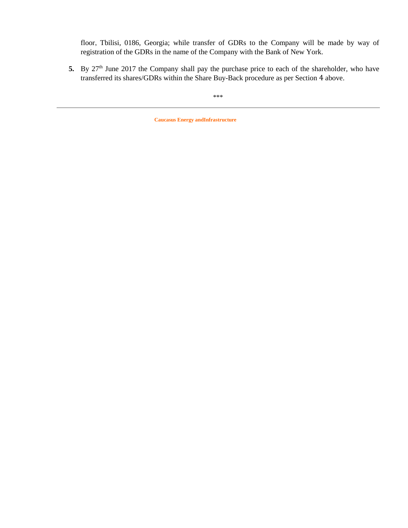floor, Tbilisi, 0186, Georgia; while transfer of GDRs to the Company will be made by way of registration of the GDRs in the name of the Company with the Bank of New York.

5. By 27<sup>th</sup> June 2017 the Company shall pay the purchase price to each of the shareholder, who have transferred its shares/GDRs within the Share Buy-Back procedure as per Section [4](#page-0-1) above.

\*\*\*

**Caucasus Energy andInfrastructure**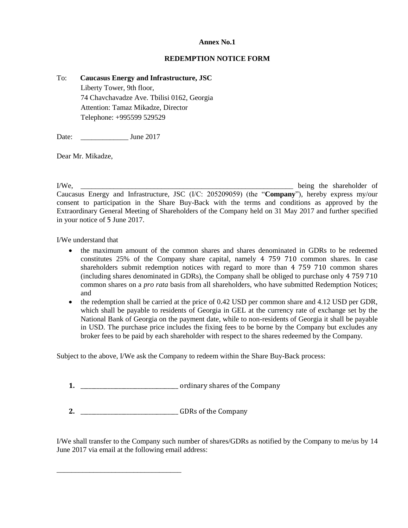## **Annex No.1**

#### **REDEMPTION NOTICE FORM**

#### To: **Caucasus Energy and Infrastructure, JSC**

Liberty Tower, 9th floor, 74 Chavchavadze Ave. Tbilisi 0162, Georgia Attention: Tamaz Mikadze, Director Telephone: +995599 529529

Date: June 2017

Dear Mr. Mikadze,

I/We, \_\_\_\_\_\_\_\_\_\_\_\_\_\_\_\_\_\_\_\_\_\_\_\_\_\_\_\_\_\_\_\_\_\_\_\_\_\_\_\_\_\_\_\_\_\_\_\_\_\_\_\_\_\_\_\_\_\_ being the shareholder of Caucasus Energy and Infrastructure, JSC (I/C: 205209059) (the "**Company**"), hereby express my/our consent to participation in the Share Buy-Back with the terms and conditions as approved by the Extraordinary General Meeting of Shareholders of the Company held on 31 May 2017 and further specified in your notice of 5 June 2017.

I/We understand that

- the maximum amount of the common shares and shares denominated in GDRs to be redeemed constitutes 25% of the Company share capital, namely 4 759 710 common shares. In case shareholders submit redemption notices with regard to more than 4 759 710 common shares (including shares denominated in GDRs), the Company shall be obliged to purchase only 4 759 710 common shares on a *pro rata* basis from all shareholders, who have submitted Redemption Notices; and
- the redemption shall be carried at the price of 0.42 USD per common share and 4.12 USD per GDR, which shall be payable to residents of Georgia in GEL at the currency rate of exchange set by the National Bank of Georgia on the payment date, while to non-residents of Georgia it shall be payable in USD. The purchase price includes the fixing fees to be borne by the Company but excludes any broker fees to be paid by each shareholder with respect to the shares redeemed by the Company.

Subject to the above, I/We ask the Company to redeem within the Share Buy-Back process:

**1.** \_\_\_\_\_\_\_\_\_\_\_\_\_\_\_\_\_\_\_\_\_\_\_\_\_\_\_\_\_\_\_\_\_\_\_\_ ordinary shares of the Company

**2.** \_\_\_\_\_\_\_\_\_\_\_\_\_\_\_\_\_\_\_\_\_\_\_\_\_\_\_\_\_\_\_\_\_\_\_\_ GDRs of the Company

\_\_\_\_\_\_\_\_\_\_\_\_\_\_\_\_\_\_\_\_\_\_\_\_\_\_\_\_\_\_\_\_\_\_

I/We shall transfer to the Company such number of shares/GDRs as notified by the Company to me/us by 14 June 2017 via email at the following email address: